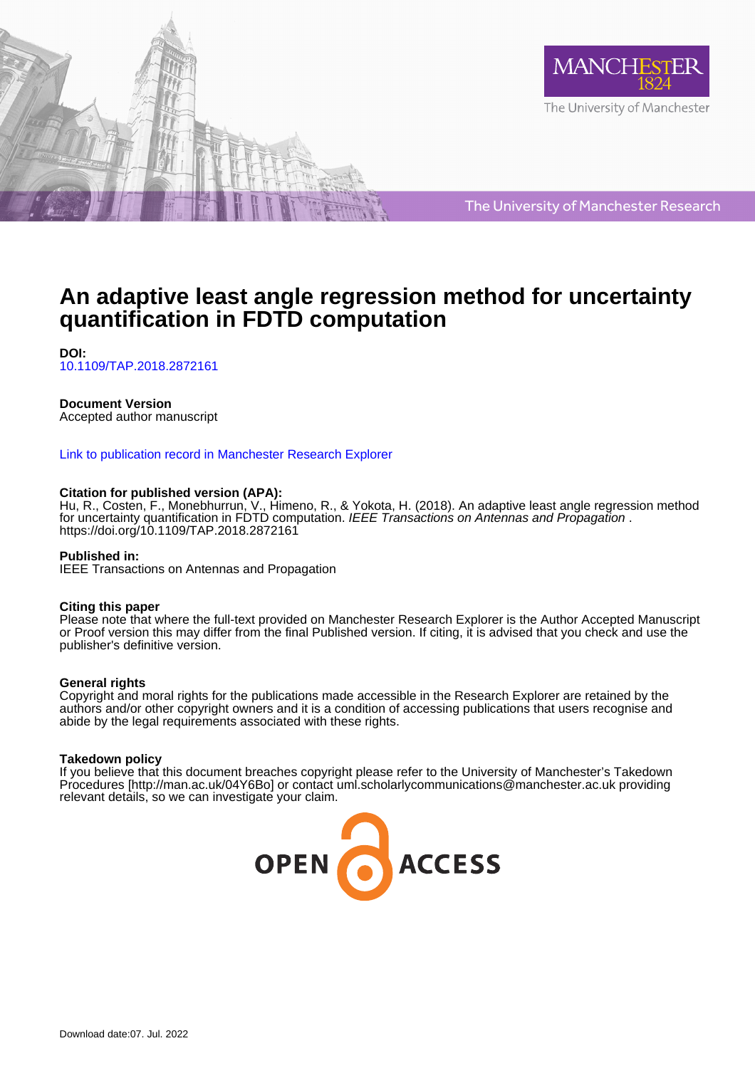



The University of Manchester Research

# **An adaptive least angle regression method for uncertainty quantification in FDTD computation**

**DOI:** [10.1109/TAP.2018.2872161](https://doi.org/10.1109/TAP.2018.2872161)

# **Document Version**

Accepted author manuscript

# [Link to publication record in Manchester Research Explorer](https://www.research.manchester.ac.uk/portal/en/publications/an-adaptive-least-angle-regression-method-for-uncertainty-quantification-in-fdtd-computation(27326239-1966-4607-bc4d-9e90eb44ff46).html)

# **Citation for published version (APA):**

Hu, R., Costen, F., Monebhurrun, V., Himeno, R., & Yokota, H. (2018). An adaptive least angle regression method for uncertainty quantification in FDTD computation. IEEE Transactions on Antennas and Propagation . <https://doi.org/10.1109/TAP.2018.2872161>

# **Published in:**

IEEE Transactions on Antennas and Propagation

# **Citing this paper**

Please note that where the full-text provided on Manchester Research Explorer is the Author Accepted Manuscript or Proof version this may differ from the final Published version. If citing, it is advised that you check and use the publisher's definitive version.

# **General rights**

Copyright and moral rights for the publications made accessible in the Research Explorer are retained by the authors and/or other copyright owners and it is a condition of accessing publications that users recognise and abide by the legal requirements associated with these rights.

# **Takedown policy**

If you believe that this document breaches copyright please refer to the University of Manchester's Takedown Procedures [http://man.ac.uk/04Y6Bo] or contact uml.scholarlycommunications@manchester.ac.uk providing relevant details, so we can investigate your claim.

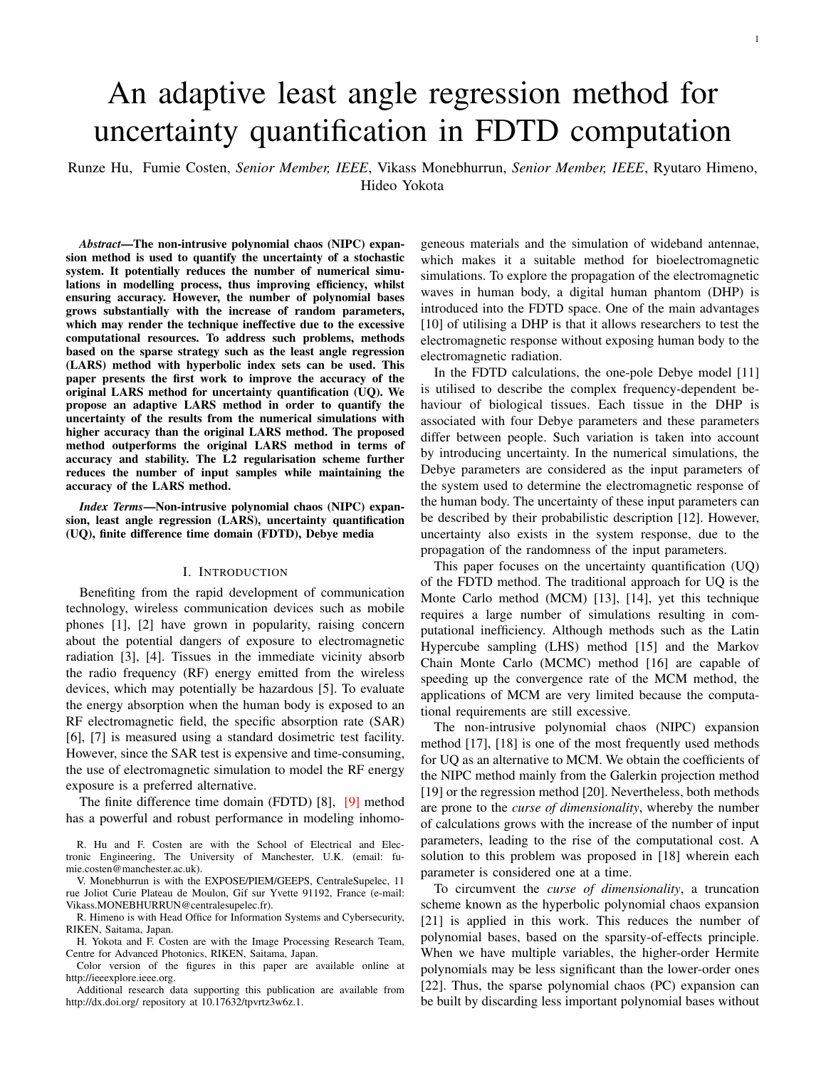# An adaptive least angle regression method for uncertainty quantification in FDTD computation

Runze Hu, Fumie Costen, *Senior Member, IEEE*, Vikass Monebhurrun, *Senior Member, IEEE*, Ryutaro Himeno, Hideo Yokota

*Abstract*—The non-intrusive polynomial chaos (NIPC) expansion method is used to quantify the uncertainty of a stochastic system. It potentially reduces the number of numerical simulations in modelling process, thus improving efficiency, whilst ensuring accuracy. However, the number of polynomial bases grows substantially with the increase of random parameters, which may render the technique ineffective due to the excessive computational resources. To address such problems, methods based on the sparse strategy such as the least angle regression (LARS) method with hyperbolic index sets can be used. This paper presents the first work to improve the accuracy of the original LARS method for uncertainty quantification (UQ). We propose an adaptive LARS method in order to quantify the uncertainty of the results from the numerical simulations with higher accuracy than the original LARS method. The proposed method outperforms the original LARS method in terms of accuracy and stability. The L2 regularisation scheme further reduces the number of input samples while maintaining the accuracy of the LARS method.

*Index Terms*—Non-intrusive polynomial chaos (NIPC) expansion, least angle regression (LARS), uncertainty quantification (UQ), finite difference time domain (FDTD), Debye media

#### I. INTRODUCTION

Benefiting from the rapid development of communication technology, wireless communication devices such as mobile phones [1], [2] have grown in popularity, raising concern about the potential dangers of exposure to electromagnetic radiation [3], [4]. Tissues in the immediate vicinity absorb the radio frequency (RF) energy emitted from the wireless devices, which may potentially be hazardous [5]. To evaluate the energy absorption when the human body is exposed to an RF electromagnetic field, the specific absorption rate (SAR) [6], [7] is measured using a standard dosimetric test facility. However, since the SAR test is expensive and time-consuming, the use of electromagnetic simulation to model the RF energy exposure is a preferred alternative.

The finite difference time domain (FDTD) [8], [9] method has a powerful and robust performance in modeling inhomo-

R. Hu and F. Costen are with the School of Electrical and Electronic Engineering, The University of Manchester, U.K. (email: fumie.costen@manchester.ac.uk).

V. Monebhurrun is with the EXPOSE/PIEM/GEEPS, CentraleSupelec, 11 rue Joliot Curie Plateau de Moulon, Gif sur Yvette 91192, France (e-mail: Vikass.MONEBHURRUN@centralesupelec.fr).

R. Himeno is with Head Office for Information Systems and Cybersecurity, RIKEN, Saitama, Japan.

H. Yokota and F. Costen are with the Image Processing Research Team, Centre for Advanced Photonics, RIKEN, Saitama, Japan.

Color version of the figures in this paper are available online at http://ieeexplore.ieee.org.

Additional research data supporting this publication are available from http://dx.doi.org/ repository at 10.17632/tpvrtz3w6z.1.

geneous materials and the simulation of wideband antennae, which makes it a suitable method for bioelectromagnetic simulations. To explore the propagation of the electromagnetic waves in human body, a digital human phantom (DHP) is introduced into the FDTD space. One of the main advantages [10] of utilising a DHP is that it allows researchers to test the electromagnetic response without exposing human body to the electromagnetic radiation.

In the FDTD calculations, the one-pole Debye model [11] is utilised to describe the complex frequency-dependent behaviour of biological tissues. Each tissue in the DHP is associated with four Debye parameters and these parameters differ between people. Such variation is taken into account by introducing uncertainty. In the numerical simulations, the Debye parameters are considered as the input parameters of the system used to determine the electromagnetic response of the human body. The uncertainty of these input parameters can be described by their probabilistic description [12]. However, uncertainty also exists in the system response, due to the propagation of the randomness of the input parameters.

This paper focuses on the uncertainty quantification (UQ) of the FDTD method. The traditional approach for UQ is the Monte Carlo method (MCM) [13], [14], yet this technique requires a large number of simulations resulting in computational inefficiency. Although methods such as the Latin Hypercube sampling (LHS) method [15] and the Markov Chain Monte Carlo (MCMC) method [16] are capable of speeding up the convergence rate of the MCM method, the applications of MCM are very limited because the computational requirements are still excessive.

The non-intrusive polynomial chaos (NIPC) expansion method [17], [18] is one of the most frequently used methods for UQ as an alternative to MCM. We obtain the coefficients of the NIPC method mainly from the Galerkin projection method [19] or the regression method [20]. Nevertheless, both methods are prone to the *curse of dimensionality*, whereby the number of calculations grows with the increase of the number of input parameters, leading to the rise of the computational cost. A solution to this problem was proposed in [18] wherein each parameter is considered one at a time.

To circumvent the *curse of dimensionality*, a truncation scheme known as the hyperbolic polynomial chaos expansion [21] is applied in this work. This reduces the number of polynomial bases, based on the sparsity-of-effects principle. When we have multiple variables, the higher-order Hermite polynomials may be less significant than the lower-order ones [22]. Thus, the sparse polynomial chaos (PC) expansion can be built by discarding less important polynomial bases without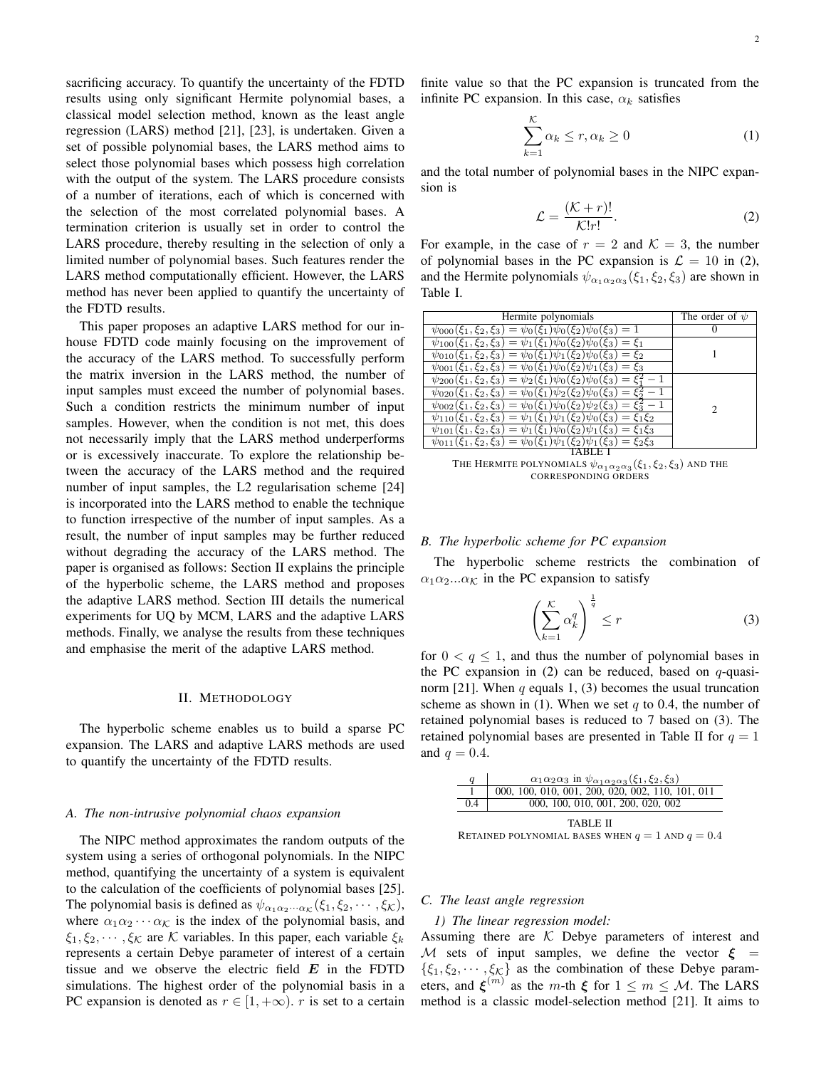sacrificing accuracy. To quantify the uncertainty of the FDTD results using only significant Hermite polynomial bases, a classical model selection method, known as the least angle regression (LARS) method [21], [23], is undertaken. Given a set of possible polynomial bases, the LARS method aims to select those polynomial bases which possess high correlation with the output of the system. The LARS procedure consists of a number of iterations, each of which is concerned with the selection of the most correlated polynomial bases. A termination criterion is usually set in order to control the LARS procedure, thereby resulting in the selection of only a limited number of polynomial bases. Such features render the LARS method computationally efficient. However, the LARS method has never been applied to quantify the uncertainty of the FDTD results.

This paper proposes an adaptive LARS method for our inhouse FDTD code mainly focusing on the improvement of the accuracy of the LARS method. To successfully perform the matrix inversion in the LARS method, the number of input samples must exceed the number of polynomial bases. Such a condition restricts the minimum number of input samples. However, when the condition is not met, this does not necessarily imply that the LARS method underperforms or is excessively inaccurate. To explore the relationship between the accuracy of the LARS method and the required number of input samples, the L2 regularisation scheme [24] is incorporated into the LARS method to enable the technique to function irrespective of the number of input samples. As a result, the number of input samples may be further reduced without degrading the accuracy of the LARS method. The paper is organised as follows: Section II explains the principle of the hyperbolic scheme, the LARS method and proposes the adaptive LARS method. Section III details the numerical experiments for UQ by MCM, LARS and the adaptive LARS methods. Finally, we analyse the results from these techniques and emphasise the merit of the adaptive LARS method.

#### II. METHODOLOGY

The hyperbolic scheme enables us to build a sparse PC expansion. The LARS and adaptive LARS methods are used to quantify the uncertainty of the FDTD results.

#### *A. The non-intrusive polynomial chaos expansion*

The NIPC method approximates the random outputs of the system using a series of orthogonal polynomials. In the NIPC method, quantifying the uncertainty of a system is equivalent to the calculation of the coefficients of polynomial bases [25]. The polynomial basis is defined as  $\psi_{\alpha_1\alpha_2\cdots\alpha_k}(\xi_1,\xi_2,\cdots,\xi_k),$ where  $\alpha_1 \alpha_2 \cdots \alpha_{\mathcal{K}}$  is the index of the polynomial basis, and  $\xi_1, \xi_2, \cdots, \xi_{\mathcal{K}}$  are K variables. In this paper, each variable  $\xi_k$ represents a certain Debye parameter of interest of a certain tissue and we observe the electric field  $E$  in the FDTD simulations. The highest order of the polynomial basis in a PC expansion is denoted as  $r \in [1, +\infty)$ . r is set to a certain finite value so that the PC expansion is truncated from the infinite PC expansion. In this case,  $\alpha_k$  satisfies

$$
\sum_{k=1}^{K} \alpha_k \le r, \alpha_k \ge 0
$$
 (1)

and the total number of polynomial bases in the NIPC expansion is

$$
\mathcal{L} = \frac{(\mathcal{K} + r)!}{\mathcal{K}!r!}.
$$
 (2)

For example, in the case of  $r = 2$  and  $K = 3$ , the number of polynomial bases in the PC expansion is  $\mathcal{L} = 10$  in (2), and the Hermite polynomials  $\psi_{\alpha_1 \alpha_2 \alpha_3}(\xi_1, \xi_2, \xi_3)$  are shown in Table I.

| Hermite polynomials                                                                                 | The order of $\psi$ |
|-----------------------------------------------------------------------------------------------------|---------------------|
| $\psi_{000}(\xi_1,\xi_2,\xi_3)=\psi_0(\xi_1)\psi_0(\xi_2)\psi_0(\xi_3)=1$                           |                     |
| $\xi_3$ ) = $\psi_1(\xi_1)\psi_0(\xi_2)\psi_0(\xi_3) = \xi_1$<br>$\psi_{100}(\xi_1,\xi_2,$          |                     |
| $=\psi_0(\xi_1)\psi_1(\xi_2)\psi_0$<br>٤2<br>$\xi_2,$<br>$\mathcal{E}_3$                            |                     |
| $\psi_{001}(\xi_1,\xi_2,\xi_3)=\psi_0(\xi_1)\psi_0(\xi_2)\psi_1(\xi_3)$<br>ξз                       |                     |
| $\psi_{200}(\xi_1,\xi_2,\xi_3)=\psi_2(\xi_1)\psi_0(\xi_2)\psi_0(\xi_3)$                             |                     |
| $=\psi_0(\xi_1)\psi_2(\xi_2)\overline{\psi_0}$<br>$\psi_{020}(\xi_1,\xi_2,\xi_3)$                   |                     |
| $\psi_{002}(\xi_1,\xi_2,\xi_3)$<br>$=\psi_0(\xi_1)\psi_0(\xi_2)\psi_2(\xi_3)$                       | 2                   |
| $=\psi_1(\xi_1)\psi_1(\xi_2)\psi_0$<br>$\mathcal{E}_1 \mathcal{E}_2$<br>$\xi_{3}$<br>$\xi_2$        |                     |
| $=\psi_1(\xi_1)\psi_0(\xi_2)\psi_1$<br>$\psi_{101}(\xi_1,$<br>$\xi_1 \xi_3$<br>$\xi_2,\xi_3$<br>દિવ |                     |
| $\psi_{011}(\xi_1,\xi_2,\xi_3)=\psi_0(\xi_1)\psi_1(\xi_2)\psi_1(\xi_3)$<br>$= \xi_2 \xi_3$          |                     |
|                                                                                                     |                     |

The Hermite polynomials  $\psi_{\alpha_1\alpha_2\alpha_3}(\xi_1,\xi_2,\xi_3)$  and the CORRESPONDING ORDERS

#### *B. The hyperbolic scheme for PC expansion*

The hyperbolic scheme restricts the combination of  $\alpha_1 \alpha_2...\alpha_{\mathcal{K}}$  in the PC expansion to satisfy

$$
\left(\sum_{k=1}^{K} \alpha_k^q\right)^{\frac{1}{q}} \le r \tag{3}
$$

for  $0 < q \leq 1$ , and thus the number of polynomial bases in the PC expansion in (2) can be reduced, based on  $q$ -quasinorm [21]. When  $q$  equals 1, (3) becomes the usual truncation scheme as shown in (1). When we set  $q$  to 0.4, the number of retained polynomial bases is reduced to 7 based on (3). The retained polynomial bases are presented in Table II for  $q = 1$ and  $q = 0.4$ .

| q                                                    | $\alpha_1\alpha_2\alpha_3$ in $\psi_{\alpha_1\alpha_2\alpha_3}(\xi_1,\xi_2,\xi_3)$ |  |
|------------------------------------------------------|------------------------------------------------------------------------------------|--|
|                                                      | $\overline{000}$ , 100, 010, 001, 200, 020, 002, 110, 101, 011                     |  |
| 0.4                                                  | 000, 100, 010, 001, 200, 020, 002                                                  |  |
| TABLE II                                             |                                                                                    |  |
| RETAINED POLYNOMIAL BASES WHEN $q = 1$ AND $q = 0.4$ |                                                                                    |  |

#### *C. The least angle regression*

#### *1) The linear regression model:*

Assuming there are  $K$  Debye parameters of interest and M sets of input samples, we define the vector  $\xi =$  $\{\xi_1, \xi_2, \cdots, \xi_{\mathcal{K}}\}$  as the combination of these Debye parameters, and  $\xi^{(m)}$  as the m-th  $\xi$  for  $1 \le m \le M$ . The LARS method is a classic model-selection method [21]. It aims to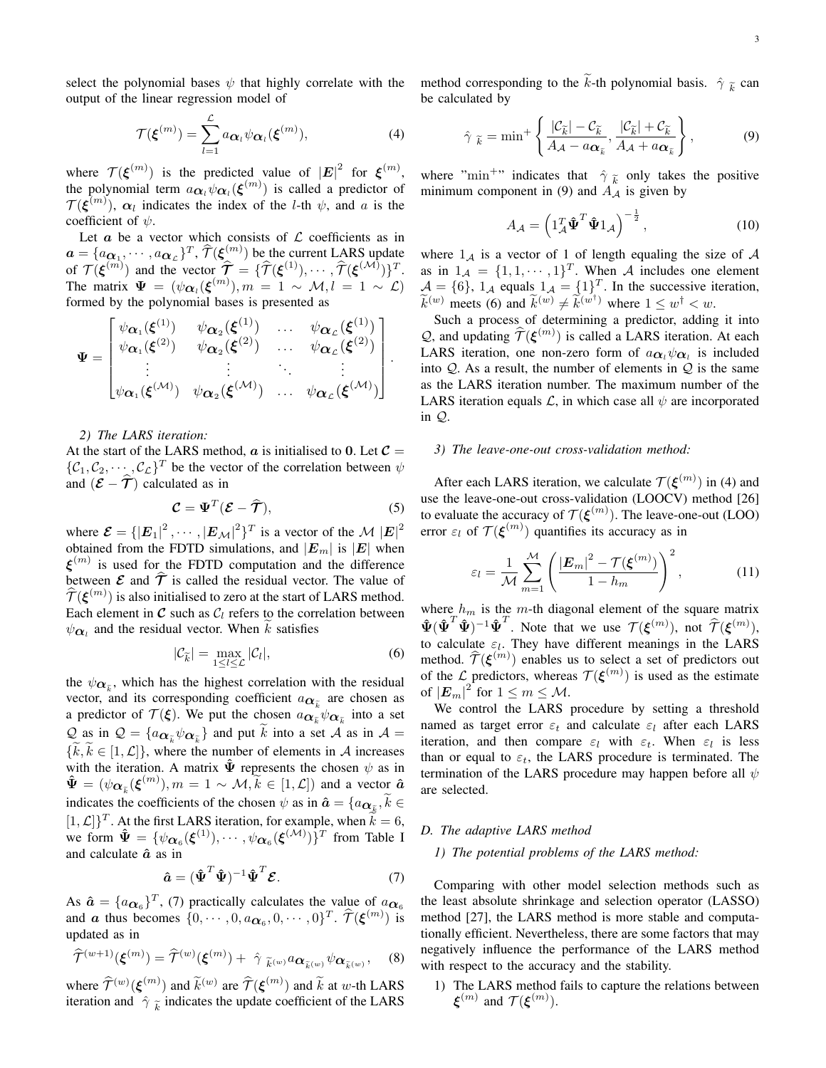select the polynomial bases  $\psi$  that highly correlate with the output of the linear regression model of

$$
\mathcal{T}(\boldsymbol{\xi}^{(m)}) = \sum_{l=1}^{\mathcal{L}} a_{\boldsymbol{\alpha}_l} \psi_{\boldsymbol{\alpha}_l}(\boldsymbol{\xi}^{(m)}),
$$
\n(4)

where  $\mathcal{T}(\boldsymbol{\xi}^{(m)})$  is the predicted value of  $|\boldsymbol{E}|^2$  for  $\boldsymbol{\xi}^{(m)}$ , the polynomial term  $a_{\alpha_l}\psi_{\alpha_l}(\boldsymbol{\xi}^{(m)})$  is called a predictor of  $\mathcal{T}(\xi^{(m)})$ ,  $\alpha_l$  indicates the index of the *l*-th  $\psi$ , and *a* is the coefficient of  $\psi$ .

Let  $\alpha$  be a vector which consists of  $\mathcal L$  coefficients as in  $a = \{a_{\alpha_1}, \cdots, a_{\alpha_k}\}^T$ ,  $\hat{\mathcal{T}}(\boldsymbol{\xi}_{\hat{\alpha}}^{(m)})$  be the current LARS update of  $\mathcal{T}(\boldsymbol{\xi}^{(m)})$  and the vector  $\widehat{\mathcal{T}} = {\{\widehat{\mathcal{T}}(\boldsymbol{\xi}^{(1)}), \cdots, \widehat{\mathcal{T}}(\boldsymbol{\xi}^{(\mathcal{M})})\}^T}$ . The matrix  $\Psi = (\psi \alpha_l(\boldsymbol{\xi}^{(m)}), m = 1 \sim \mathcal{M}, l = 1 \sim \mathcal{L})$ formed by the polynomial bases is presented as

$$
\Psi = \begin{bmatrix}\n\psi_{\alpha_1}(\xi^{(1)}) & \psi_{\alpha_2}(\xi^{(1)}) & \dots & \psi_{\alpha_L}(\xi^{(1)}) \\
\psi_{\alpha_1}(\xi^{(2)}) & \psi_{\alpha_2}(\xi^{(2)}) & \dots & \psi_{\alpha_L}(\xi^{(2)}) \\
\vdots & \vdots & \ddots & \vdots \\
\psi_{\alpha_1}(\xi^{(\mathcal{M})}) & \psi_{\alpha_2}(\xi^{(\mathcal{M})}) & \dots & \psi_{\alpha_L}(\xi^{(\mathcal{M})})\n\end{bmatrix}
$$

#### *2) The LARS iteration:*

At the start of the LARS method,  $\boldsymbol{a}$  is initialised to 0. Let  $\boldsymbol{C} =$  $\{\mathcal{C}_1, \mathcal{C}_2, \cdots, \mathcal{C}_\mathcal{L}\}^T$  be the vector of the correlation between  $\psi$ and  $(\mathcal{E} - \widehat{\mathcal{T}})$  calculated as in

$$
\mathcal{C} = \Psi^T (\mathcal{E} - \hat{\mathcal{T}}), \tag{5}
$$

.

where  $\mathcal{E} = \{ |E_1|^2, \cdots, |E_{\mathcal{M}}|^2 \}^T$  is a vector of the  $\mathcal{M} |E|^2$ obtained from the FDTD simulations, and  $|E_m|$  is  $|E|$  when  $\xi^{(m)}$  is used for the FDTD computation and the difference between  $\mathcal E$  and  $\hat{\mathcal T}$  is called the residual vector. The value of  $\widehat{\mathcal{T}}(\boldsymbol{\xi}^{(m)})$  is also initialised to zero at the start of LARS method. Each element in  $C$  such as  $C_l$  refers to the correlation between  $\psi_{\alpha_i}$  and the residual vector. When k satisfies

$$
|\mathcal{C}_{\widetilde{k}}| = \max_{1 \le l \le \mathcal{L}} |\mathcal{C}_l|,\tag{6}
$$

the  $\psi_{\alpha_{\vec{k}}}$ , which has the highest correlation with the residual vector, and its corresponding coefficient  $a_{\alpha_{\vec{k}}}$  are chosen as a predictor of  $\mathcal{T}(\xi)$ . We put the chosen  $a_{\alpha_{\tilde{k}}} \psi_{\alpha_{\tilde{k}}}$  into a set  $Q$  as in  $Q = \{a_{\alpha_{\vec{k}}} \psi_{\alpha_{\vec{k}}} \}$  and put k into a set A as in  $A =$  $\{\widetilde{k}, \widetilde{k} \in [1, \mathcal{L}]\}$ , where the number of elements in A increases with the iteration. A matrix  $\hat{\Psi}$  represents the chosen  $\psi$  as in  $\hat{\Psi} = (\psi_{\mathbf{\alpha}_{\tilde{k}}}(\boldsymbol{\xi}^{(m)}), m = 1 \sim \mathcal{M}, \tilde{k} \in [1, \mathcal{L}])$  and a vector  $\hat{\boldsymbol{a}}$ indicates the coefficients of the chosen  $\psi$  as in  $\hat{\boldsymbol{a}} = \{a_{\boldsymbol{\alpha}_{\tilde{\mathcal{E}}}}, \tilde{k} \in$  $[1, \mathcal{L}]$ <sup>T</sup>. At the first LARS iteration, for example, when  $\tilde{k} = 6$ , we form  $\hat{\Psi} = {\psi_{\alpha_6}(\xi^{(1)})}, \cdots, \psi_{\alpha_6}(\xi^{(\mathcal{M})})\}^T$  from Table I and calculate  $\hat{a}$  as in

$$
\hat{\mathbf{a}} = (\hat{\mathbf{\Psi}}^T \hat{\mathbf{\Psi}})^{-1} \hat{\mathbf{\Psi}}^T \mathbf{\mathcal{E}}.
$$
 (7)

As  $\hat{\mathbf{a}} = \{a_{\alpha_6}\}^T$ , (7) practically calculates the value of  $a_{\alpha_6}$ and *a* thus becomes  $\{0, \dots, 0, a_{\boldsymbol{\alpha}_6}, 0, \dots, 0\}^T$ .  $\widehat{\mathcal{T}}(\boldsymbol{\xi}^{(m)})$  is updated as in

$$
\widehat{\mathcal{T}}^{(w+1)}(\boldsymbol{\xi}^{(m)}) = \widehat{\mathcal{T}}^{(w)}(\boldsymbol{\xi}^{(m)}) + \hat{\gamma}_{\widetilde{k}^{(w)}} a_{\mathbf{\widetilde{\kappa}}^{(w)}} \psi_{\mathbf{\mathbf{\alpha}}_{\widetilde{k}^{(w)}}}, \quad (8)
$$

where  $\hat{\mathcal{T}}^{(w)}(\xi^{(m)})$  and  $\tilde{k}^{(w)}$  are  $\hat{\mathcal{T}}(\xi^{(m)})$  and  $\tilde{k}$  at w-th LARS iteration and  $\hat{\gamma}$   $_{\tilde{k}}$  indicates the update coefficient of the LARS

method corresponding to the k-th polynomial basis.  $\hat{\gamma}$   $\tilde{k}$  can be calculated by

$$
\hat{\gamma}_{\tilde{k}} = \min^{+} \left\{ \frac{|\mathcal{C}_{\tilde{k}}| - \mathcal{C}_{\tilde{k}}}{A_{\mathcal{A}} - a_{\alpha_{\tilde{k}}}}, \frac{|\mathcal{C}_{\tilde{k}}| + \mathcal{C}_{\tilde{k}}}{A_{\mathcal{A}} + a_{\alpha_{\tilde{k}}}} \right\},
$$
(9)

where "min<sup>+</sup>" indicates that  $\hat{\gamma}$   $\tilde{k}$  only takes the positive minimum component in (9) and  $A_A$  is given by

$$
A_{\mathcal{A}} = \left(\mathbf{1}_{\mathcal{A}}^T \hat{\mathbf{\Psi}}^T \hat{\mathbf{\Psi}} \mathbf{1}_{\mathcal{A}}\right)^{-\frac{1}{2}},\tag{10}
$$

where  $1_A$  is a vector of 1 of length equaling the size of A as in  $1_A = \{1, 1, \dots, 1\}^T$ . When A includes one element  $\mathcal{A} = \{6\}$ ,  $1_{\mathcal{A}}$  equals  $1_{\mathcal{A}} = \{1\}^{T}_{\uparrow}$ . In the successive iteration,  $\widetilde{k}^{(w)}$  meets (6) and  $\widetilde{k}^{(w)} \neq \widetilde{k}^{(\widetilde{w}^{\dagger})}$  where  $1 \leq w^{\dagger} < w$ .

Such a process of determining a predictor, adding it into Q, and updating  $\hat{\mathcal{T}}(\boldsymbol{\xi}^{(m)})$  is called a LARS iteration. At each LARS iteration, one non-zero form of  $a_{\alpha_l}\psi_{\alpha_l}$  is included into  $Q$ . As a result, the number of elements in  $Q$  is the same as the LARS iteration number. The maximum number of the LARS iteration equals  $\mathcal{L}$ , in which case all  $\psi$  are incorporated in Q.

# *3) The leave-one-out cross-validation method:*

After each LARS iteration, we calculate  $\mathcal{T}(\boldsymbol{\xi}^{(m)})$  in (4) and use the leave-one-out cross-validation (LOOCV) method [26] to evaluate the accuracy of  $\mathcal{T}(\boldsymbol{\xi}^{(m)})$ . The leave-one-out (LOO) error  $\varepsilon_l$  of  $\mathcal{T}(\boldsymbol{\xi}^{(m)})$  quantifies its accuracy as in

$$
\varepsilon_l = \frac{1}{\mathcal{M}} \sum_{m=1}^{\mathcal{M}} \left( \frac{|\mathbf{E}_m|^2 - \mathcal{T}(\boldsymbol{\xi}^{(m)})}{1 - h_m} \right)^2, \tag{11}
$$

where  $h_m$  is the m-th diagonal element of the square matrix  $\hat{\Psi}(\hat{\Psi}^T\hat{\Psi})^{-1}\hat{\Psi}^T$ . Note that we use  $\mathcal{T}(\boldsymbol{\xi}^{(m)})$ , not  $\hat{\mathcal{T}}(\boldsymbol{\xi}^{(m)})$ , to calculate  $\varepsilon_l$ . They have different meanings in the LARS method.  $\widehat{\mathcal{T}}(\boldsymbol{\xi}^{(m)})$  enables us to select a set of predictors out of the  $\mathcal{L}$  predictors, whereas  $\mathcal{T}(\boldsymbol{\xi}^{(m)})$  is used as the estimate of  $|\mathbf{E}_m|^2$  for  $1 \le m \le \mathcal{M}$ .

We control the LARS procedure by setting a threshold named as target error  $\varepsilon_t$  and calculate  $\varepsilon_l$  after each LARS iteration, and then compare  $\varepsilon_l$  with  $\varepsilon_t$ . When  $\varepsilon_l$  is less than or equal to  $\varepsilon_t$ , the LARS procedure is terminated. The termination of the LARS procedure may happen before all  $\psi$ are selected.

#### *D. The adaptive LARS method*

#### *1) The potential problems of the LARS method:*

Comparing with other model selection methods such as the least absolute shrinkage and selection operator (LASSO) method [27], the LARS method is more stable and computationally efficient. Nevertheless, there are some factors that may negatively influence the performance of the LARS method with respect to the accuracy and the stability.

1) The LARS method fails to capture the relations between  $\boldsymbol{\xi}^{(m)}$  and  $\mathcal{T}(\boldsymbol{\xi}^{(m)})$ .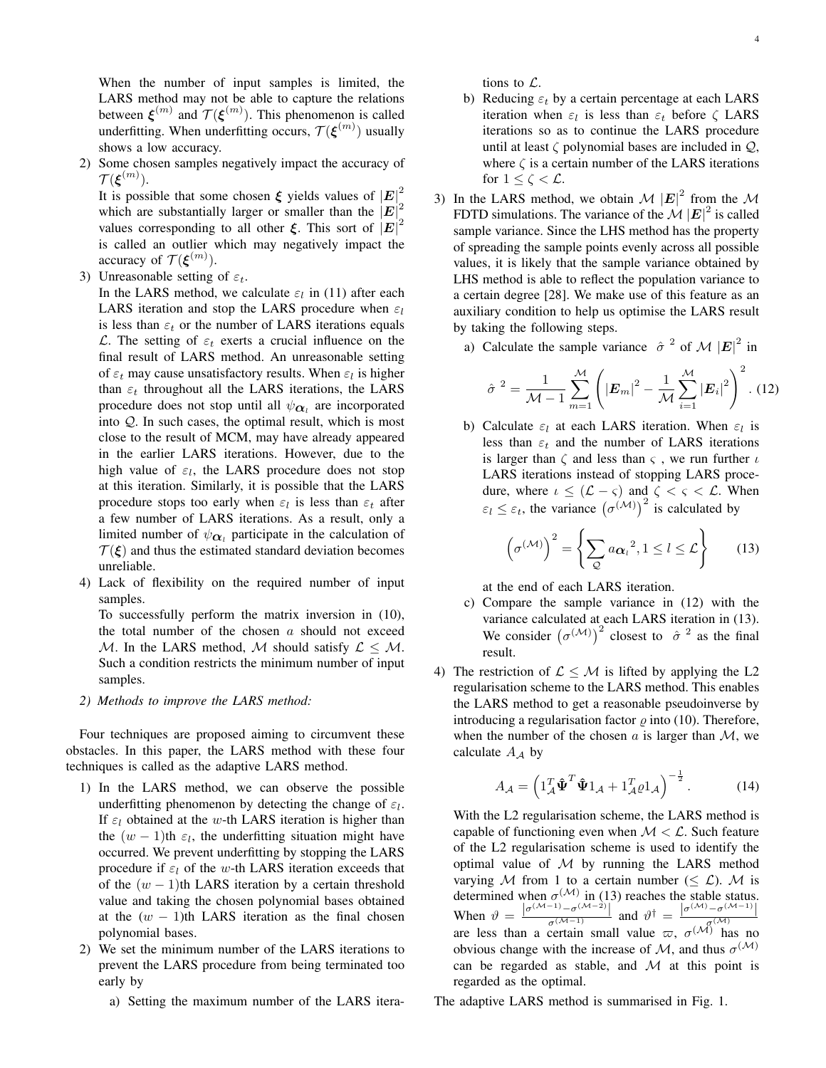When the number of input samples is limited, the LARS method may not be able to capture the relations between  $\xi^{(m)}$  and  $\mathcal{T}(\xi^{(m)})$ . This phenomenon is called underfitting. When underfitting occurs,  $\mathcal{T}(\boldsymbol{\xi}^{(m)})$  usually shows a low accuracy.

2) Some chosen samples negatively impact the accuracy of  $\mathcal{T}(\boldsymbol{\xi}^{(m)}).$ 

It is possible that some chosen  $\xi$  yields values of  $|E|^2$ which are substantially larger or smaller than the  $|E|^2$ values corresponding to all other  $\xi$ . This sort of  $|E|^2$ is called an outlier which may negatively impact the accuracy of  $\mathcal{T}(\boldsymbol{\xi}^{(m)})$ .

3) Unreasonable setting of  $\varepsilon_t$ .

In the LARS method, we calculate  $\varepsilon_l$  in (11) after each LARS iteration and stop the LARS procedure when  $\varepsilon_l$ is less than  $\varepsilon_t$  or the number of LARS iterations equals L. The setting of  $\varepsilon_t$  exerts a crucial influence on the final result of LARS method. An unreasonable setting of  $\varepsilon_t$  may cause unsatisfactory results. When  $\varepsilon_l$  is higher than  $\varepsilon_t$  throughout all the LARS iterations, the LARS procedure does not stop until all  $\psi_{\boldsymbol{\alpha}_l}$  are incorporated into Q. In such cases, the optimal result, which is most close to the result of MCM, may have already appeared in the earlier LARS iterations. However, due to the high value of  $\varepsilon_l$ , the LARS procedure does not stop at this iteration. Similarly, it is possible that the LARS procedure stops too early when  $\varepsilon_l$  is less than  $\varepsilon_t$  after a few number of LARS iterations. As a result, only a limited number of  $\psi_{\alpha}$  participate in the calculation of  $T(\xi)$  and thus the estimated standard deviation becomes unreliable.

4) Lack of flexibility on the required number of input samples.

To successfully perform the matrix inversion in (10), the total number of the chosen  $a$  should not exceed M. In the LARS method, M should satisfy  $\mathcal{L} \leq \mathcal{M}$ . Such a condition restricts the minimum number of input samples.

*2) Methods to improve the LARS method:*

Four techniques are proposed aiming to circumvent these obstacles. In this paper, the LARS method with these four techniques is called as the adaptive LARS method.

- 1) In the LARS method, we can observe the possible underfitting phenomenon by detecting the change of  $\varepsilon_l$ . If  $\varepsilon_l$  obtained at the w-th LARS iteration is higher than the  $(w - 1)$ th  $\varepsilon_l$ , the underfitting situation might have occurred. We prevent underfitting by stopping the LARS procedure if  $\varepsilon_l$  of the w-th LARS iteration exceeds that of the  $(w - 1)$ th LARS iteration by a certain threshold value and taking the chosen polynomial bases obtained at the  $(w - 1)$ th LARS iteration as the final chosen polynomial bases.
- 2) We set the minimum number of the LARS iterations to prevent the LARS procedure from being terminated too early by
	- a) Setting the maximum number of the LARS itera-

tions to L.

- b) Reducing  $\varepsilon_t$  by a certain percentage at each LARS iteration when  $\varepsilon_l$  is less than  $\varepsilon_t$  before  $\zeta$  LARS iterations so as to continue the LARS procedure until at least  $\zeta$  polynomial bases are included in  $\mathcal{Q}$ , where  $\zeta$  is a certain number of the LARS iterations for  $1 \leq \zeta < \mathcal{L}$ .
- 3) In the LARS method, we obtain  $\mathcal{M} |E|^2$  from the  $\mathcal{M}$ FDTD simulations. The variance of the  $\mathcal{M} |\mathbf{E}|^2$  is called sample variance. Since the LHS method has the property of spreading the sample points evenly across all possible values, it is likely that the sample variance obtained by LHS method is able to reflect the population variance to a certain degree [28]. We make use of this feature as an auxiliary condition to help us optimise the LARS result by taking the following steps.
	- a) Calculate the sample variance  $\hat{\sigma}^2$  of M  $|\mathbf{E}|^2$  in

$$
\hat{\sigma}^{2} = \frac{1}{\mathcal{M} - 1} \sum_{m=1}^{\mathcal{M}} \left( |\mathbf{E}_{m}|^{2} - \frac{1}{\mathcal{M}} \sum_{i=1}^{\mathcal{M}} |\mathbf{E}_{i}|^{2} \right)^{2} . (12)
$$

b) Calculate  $\varepsilon_l$  at each LARS iteration. When  $\varepsilon_l$  is less than  $\varepsilon_t$  and the number of LARS iterations is larger than  $\zeta$  and less than  $\zeta$ , we run further  $\iota$ LARS iterations instead of stopping LARS procedure, where  $\iota \leq (\mathcal{L} - \varsigma)$  and  $\zeta < \varsigma < \mathcal{L}$ . When  $\varepsilon_l \leq \varepsilon_t$ , the variance  $(\sigma^{(\mathcal{M})})^2$  is calculated by

$$
\left(\sigma^{(\mathcal{M})}\right)^2 = \left\{\sum_{\mathcal{Q}} a_{\alpha_l}^2, 1 \le l \le \mathcal{L}\right\} \qquad (13)
$$

at the end of each LARS iteration.

- c) Compare the sample variance in (12) with the variance calculated at each LARS iteration in (13). We consider  $(\sigma^{(\mathcal{M})})^2$  closest to  $\hat{\sigma}^2$  as the final result.
- 4) The restriction of  $\mathcal{L} \leq \mathcal{M}$  is lifted by applying the L2 regularisation scheme to the LARS method. This enables the LARS method to get a reasonable pseudoinverse by introducing a regularisation factor  $\rho$  into (10). Therefore, when the number of the chosen a is larger than  $\mathcal{M}$ , we calculate  $A_A$  by

$$
A_{\mathcal{A}} = \left(\mathbf{1}_{\mathcal{A}}^T \hat{\mathbf{\Psi}}^T \hat{\mathbf{\Psi}} \mathbf{1}_{\mathcal{A}} + \mathbf{1}_{\mathcal{A}}^T \varrho \mathbf{1}_{\mathcal{A}}\right)^{-\frac{1}{2}}.
$$
 (14)

With the L2 regularisation scheme, the LARS method is capable of functioning even when  $\mathcal{M} < \mathcal{L}$ . Such feature of the L2 regularisation scheme is used to identify the optimal value of  $M$  by running the LARS method varying M from 1 to a certain number ( $\leq \mathcal{L}$ ). M is determined when  $\sigma^{(\mathcal{M})}$  in (13) reaches the stable status. When  $\vartheta = \frac{|\sigma^{(\mathcal{M}-1)} - \sigma^{(\mathcal{M}-2)}|}{\sigma^{(\mathcal{M}-1)}}$  and  $\vartheta^{\dagger} = \frac{|\sigma^{(\mathcal{M})} - \sigma^{(\mathcal{M}-1)}|}{\sigma^{(\mathcal{M})}}$ <br>are less than a certain small value  $\varpi$ ,  $\sigma^{(\mathcal{M})}$  has no obvious change with the increase of  $M$ , and thus  $\sigma^{(M)}$ can be regarded as stable, and  $M$  at this point is regarded as the optimal.

The adaptive LARS method is summarised in Fig. 1.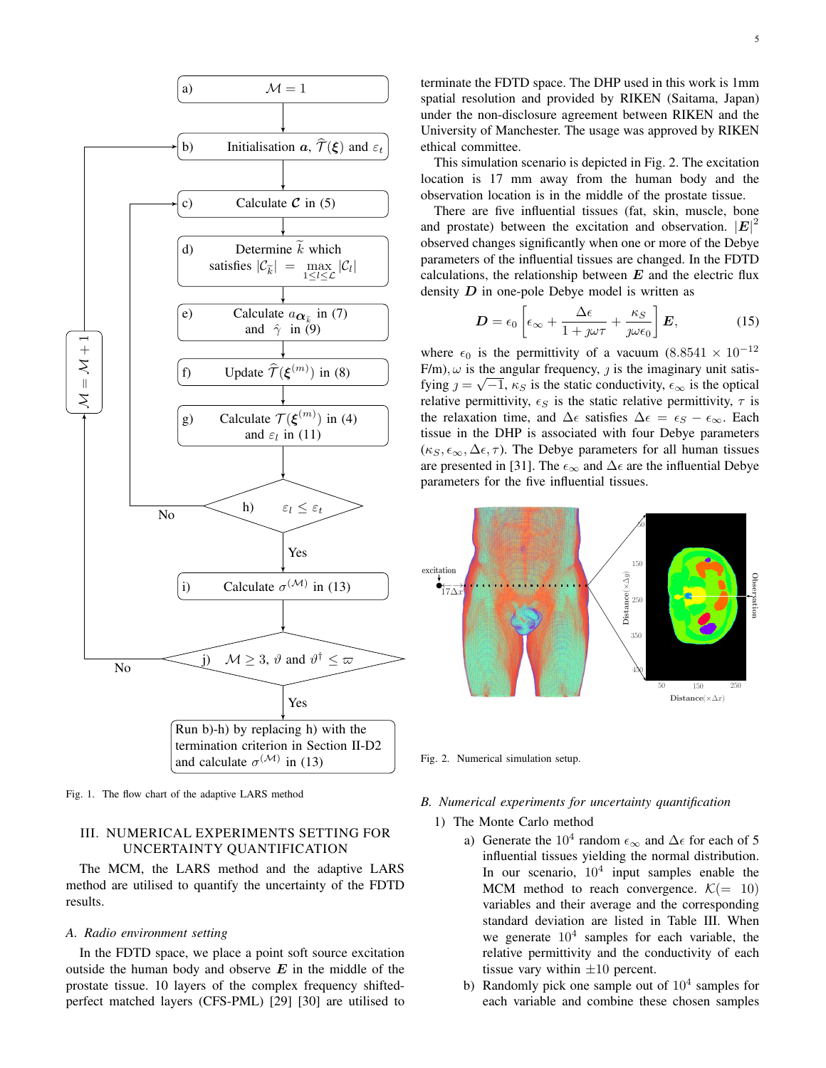

Fig. 1. The flow chart of the adaptive LARS method

# III. NUMERICAL EXPERIMENTS SETTING FOR UNCERTAINTY QUANTIFICATION

The MCM, the LARS method and the adaptive LARS method are utilised to quantify the uncertainty of the FDTD results.

#### *A. Radio environment setting*

In the FDTD space, we place a point soft source excitation outside the human body and observe  $E$  in the middle of the prostate tissue. 10 layers of the complex frequency shiftedperfect matched layers (CFS-PML) [29] [30] are utilised to terminate the FDTD space. The DHP used in this work is 1mm spatial resolution and provided by RIKEN (Saitama, Japan) under the non-disclosure agreement between RIKEN and the University of Manchester. The usage was approved by RIKEN ethical committee.

This simulation scenario is depicted in Fig. 2. The excitation location is 17 mm away from the human body and the observation location is in the middle of the prostate tissue.

There are five influential tissues (fat, skin, muscle, bone and prostate) between the excitation and observation.  $|E|^2$ observed changes significantly when one or more of the Debye parameters of the influential tissues are changed. In the FDTD calculations, the relationship between  $E$  and the electric flux density  $D$  in one-pole Debye model is written as

$$
D = \epsilon_0 \left[ \epsilon_{\infty} + \frac{\Delta \epsilon}{1 + \jmath \omega \tau} + \frac{\kappa_S}{\jmath \omega \epsilon_0} \right] E, \tag{15}
$$

where  $\epsilon_0$  is the permittivity of a vacuum (8.8541 × 10<sup>-12</sup>)  $F/m$ ,  $\omega$  is the angular frequency,  $\jmath$  is the imaginary unit satisfying  $j = \sqrt{-1}$ ,  $\kappa_S$  is the static conductivity,  $\epsilon_\infty$  is the optical relative permittivity,  $\epsilon_S$  is the static relative permittivity,  $\tau$  is the relaxation time, and  $\Delta \epsilon$  satisfies  $\Delta \epsilon = \epsilon_S - \epsilon_\infty$ . Each tissue in the DHP is associated with four Debye parameters  $(\kappa_S, \epsilon_\infty, \Delta \epsilon, \tau)$ . The Debye parameters for all human tissues are presented in [31]. The  $\epsilon_{\infty}$  and  $\Delta \epsilon$  are the influential Debye parameters for the five influential tissues.



Fig. 2. Numerical simulation setup.

#### *B. Numerical experiments for uncertainty quantification*

- 1) The Monte Carlo method
	- a) Generate the 10<sup>4</sup> random  $\epsilon_{\infty}$  and  $\Delta \epsilon$  for each of 5 influential tissues yielding the normal distribution. In our scenario,  $10<sup>4</sup>$  input samples enable the MCM method to reach convergence.  $\mathcal{K}$  (= 10) variables and their average and the corresponding standard deviation are listed in Table III. When we generate  $10^4$  samples for each variable, the relative permittivity and the conductivity of each tissue vary within  $\pm 10$  percent.
	- b) Randomly pick one sample out of  $10<sup>4</sup>$  samples for each variable and combine these chosen samples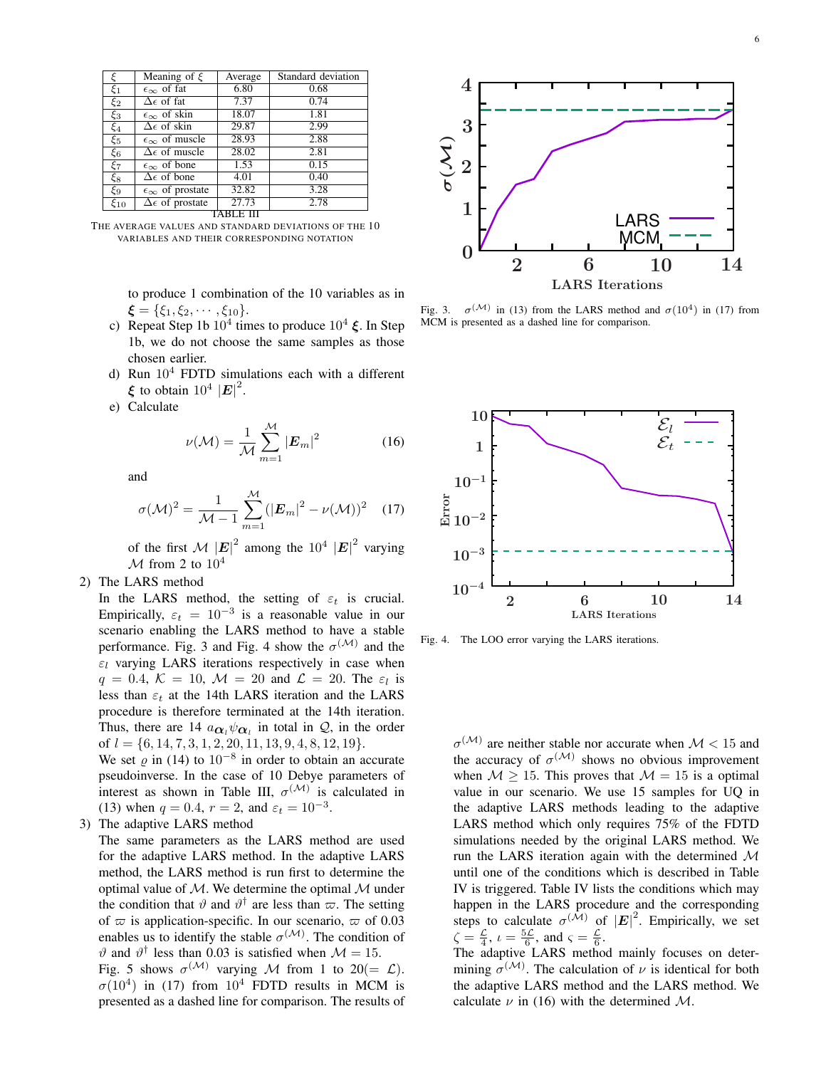| ξ          | Meaning of $\xi$                | Average | Standard deviation |  |
|------------|---------------------------------|---------|--------------------|--|
| $\xi_1$    | $\epsilon_{\infty}$ of fat      | 6.80    | 0.68               |  |
| $\xi_2$    | $\Delta \epsilon$ of fat        | 7.37    | 0.74               |  |
| $\xi_3$    | $\epsilon_{\infty}$ of skin     | 18.07   | 1.81               |  |
| $\xi_4$    | $\Delta \epsilon$ of skin       | 29.87   | 2.99               |  |
| $\xi_5$    | $\epsilon_{\infty}$ of muscle   | 28.93   | 2.88               |  |
| $\xi_6$    | $\Delta \epsilon$ of muscle     | 28.02   | 2.81               |  |
| ξ7         | $\epsilon_{\infty}$ of bone     | 1.53    | 0.15               |  |
| $\xi_8$    | $\Delta \epsilon$ of bone       | 4.01    | 0.40               |  |
| ξ9         | $\epsilon_{\infty}$ of prostate | 32.82   | 3.28               |  |
| $\xi_{10}$ | $\Delta \epsilon$ of prostate   | 27.73   | 2.78               |  |
|            |                                 |         |                    |  |

THE AVERAGE VALUES AND STANDARD DEVIATIONS OF THE 10 VARIABLES AND THEIR CORRESPONDING NOTATION

to produce 1 combination of the 10 variables as in  $\xi = {\xi_1, \xi_2, \cdots, \xi_{10}}.$ 

- c) Repeat Step 1b  $10^4$  times to produce  $10^4$   $\xi$ . In Step 1b, we do not choose the same samples as those chosen earlier.
- d) Run  $10<sup>4</sup>$  FDTD simulations each with a different  $\xi$  to obtain  $10^4$   $|\mathbf{E}|^2$ .
- e) Calculate

$$
\nu(\mathcal{M}) = \frac{1}{\mathcal{M}} \sum_{m=1}^{\mathcal{M}} |E_m|^2 \tag{16}
$$

and

$$
\sigma(\mathcal{M})^2 = \frac{1}{\mathcal{M} - 1} \sum_{m=1}^{\mathcal{M}} (|\mathbf{E}_m|^2 - \nu(\mathcal{M}))^2 \quad (17)
$$

of the first  $\mathcal{M} |\mathbf{E}|^2$  among the  $10^4 |\mathbf{E}|^2$  varying  $\mathcal{M}$  from 2 to  $10^4$ 

2) The LARS method

In the LARS method, the setting of  $\varepsilon_t$  is crucial. Empirically,  $\varepsilon_t = 10^{-3}$  is a reasonable value in our scenario enabling the LARS method to have a stable performance. Fig. 3 and Fig. 4 show the  $\sigma^{(\mathcal{M})}$  and the  $\varepsilon_l$  varying LARS iterations respectively in case when  $q = 0.4, \mathcal{K} = 10, \mathcal{M} = 20$  and  $\mathcal{L} = 20$ . The  $\varepsilon_l$  is less than  $\varepsilon_t$  at the 14th LARS iteration and the LARS procedure is therefore terminated at the 14th iteration. Thus, there are 14  $a_{\alpha_l}\psi_{\alpha_l}$  in total in  $\mathcal{Q}$ , in the order of  $l = \{6, 14, 7, 3, 1, 2, 20, 11, 13, 9, 4, 8, 12, 19\}.$ 

We set  $\varrho$  in (14) to  $10^{-8}$  in order to obtain an accurate pseudoinverse. In the case of 10 Debye parameters of interest as shown in Table III,  $\sigma^{(\mathcal{M})}$  is calculated in (13) when  $q = 0.4$ ,  $r = 2$ , and  $\varepsilon_t = 10^{-3}$ .

3) The adaptive LARS method

The same parameters as the LARS method are used for the adaptive LARS method. In the adaptive LARS method, the LARS method is run first to determine the optimal value of  $M$ . We determine the optimal  $M$  under the condition that  $\vartheta$  and  $\vartheta^{\dagger}$  are less than  $\varpi$ . The setting of  $\varpi$  is application-specific. In our scenario,  $\varpi$  of 0.03 enables us to identify the stable  $\sigma^{(\mathcal{M})}$ . The condition of  $\vartheta$  and  $\vartheta^{\dagger}$  less than 0.03 is satisfied when  $\mathcal{M} = 15$ .

Fig. 5 shows  $\sigma^{(M)}$  varying M from 1 to 20(=  $\mathcal{L}$ ).  $\sigma(10^4)$  in (17) from  $10^4$  FDTD results in MCM is presented as a dashed line for comparison. The results of



Fig. 3.  $\sigma^{(\mathcal{M})}$  in (13) from the LARS method and  $\sigma(10^4)$  in (17) from MCM is presented as a dashed line for comparison.



Fig. 4. The LOO error varying the LARS iterations.

 $\sigma^{(\mathcal{M})}$  are neither stable nor accurate when  $\mathcal{M} < 15$  and the accuracy of  $\sigma^{(\mathcal{M})}$  shows no obvious improvement when  $M > 15$ . This proves that  $M = 15$  is a optimal value in our scenario. We use 15 samples for UQ in the adaptive LARS methods leading to the adaptive LARS method which only requires 75% of the FDTD simulations needed by the original LARS method. We run the LARS iteration again with the determined  $M$ until one of the conditions which is described in Table IV is triggered. Table IV lists the conditions which may happen in the LARS procedure and the corresponding steps to calculate  $\sigma^{(\mathcal{M})}$  of  $|\mathbf{E}|^2$ . Empirically, we set  $\zeta = \frac{\mathcal{L}}{4}$ ,  $\iota = \frac{5\mathcal{L}}{6}$ , and  $\varsigma = \frac{\mathcal{L}}{6}$ .

The adaptive LARS method mainly focuses on determining  $\sigma^{(\mathcal{M})}$ . The calculation of  $\nu$  is identical for both the adaptive LARS method and the LARS method. We calculate  $\nu$  in (16) with the determined M.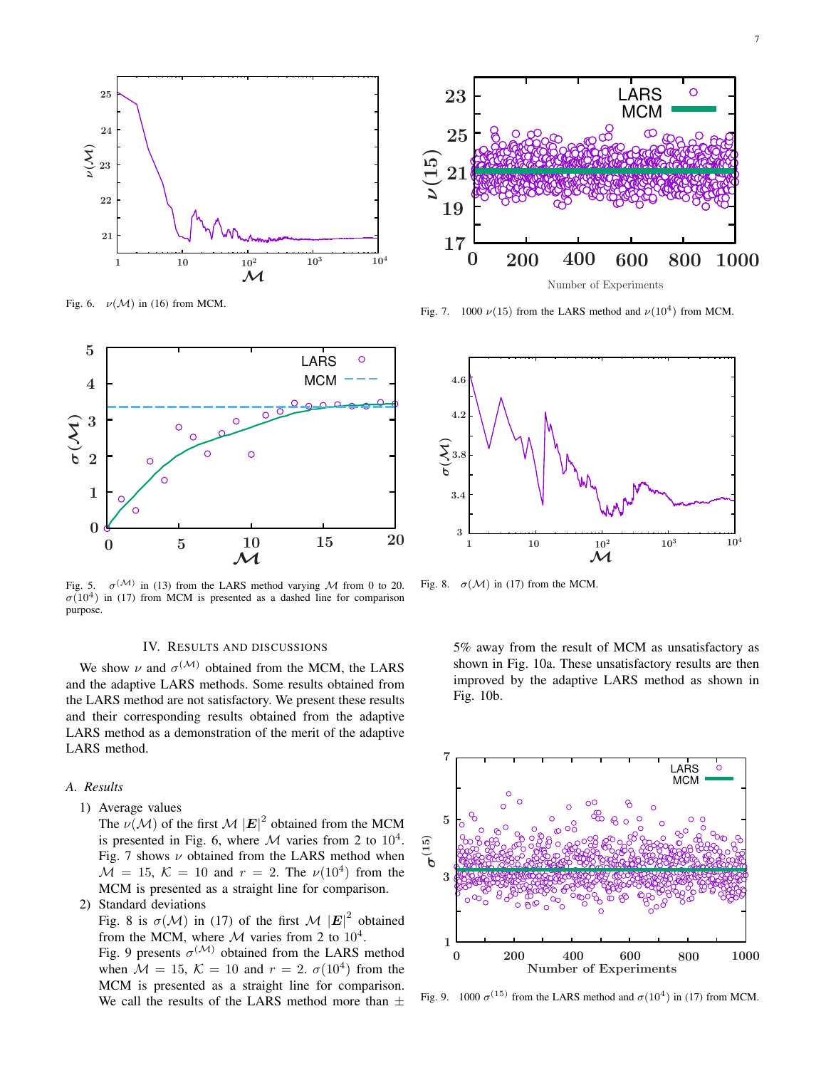

Fig. 6.  $\nu(\mathcal{M})$  in (16) from MCM.



Fig. 5.  $\sigma^{(\mathcal{M})}$  in (13) from the LARS method varying M from 0 to 20.  $\sigma(10^4)$  in (17) from MCM is presented as a dashed line for comparison purpose.

#### IV. RESULTS AND DISCUSSIONS

We show  $\nu$  and  $\sigma^{(\mathcal{M})}$  obtained from the MCM, the LARS and the adaptive LARS methods. Some results obtained from the LARS method are not satisfactory. We present these results and their corresponding results obtained from the adaptive LARS method as a demonstration of the merit of the adaptive LARS method.

#### *A. Results*

1) Average values

The  $\nu(\mathcal{M})$  of the first  $\mathcal{M} |E|^2$  obtained from the MCM is presented in Fig. 6, where  $M$  varies from 2 to  $10^4$ . Fig. 7 shows  $\nu$  obtained from the LARS method when  $\mathcal{M} = 15, \, \mathcal{K} = 10$  and  $r = 2$ . The  $\nu(10^4)$  from the MCM is presented as a straight line for comparison.

2) Standard deviations

Fig. 8 is  $\sigma(\mathcal{M})$  in (17) of the first  $\mathcal{M} |E|^2$  obtained from the MCM, where M varies from 2 to  $10^4$ .

Fig. 9 presents  $\sigma^{(\mathcal{M})}$  obtained from the LARS method when  $\mathcal{M} = 15$ ,  $\mathcal{K} = 10$  and  $r = 2$ .  $\sigma(10^4)$  from the MCM is presented as a straight line for comparison. We call the results of the LARS method more than  $\pm$ 



Fig. 7. 1000  $\nu(15)$  from the LARS method and  $\nu(10^4)$  from MCM.



Fig. 8.  $\sigma(\mathcal{M})$  in (17) from the MCM.

5% away from the result of MCM as unsatisfactory as shown in Fig. 10a. These unsatisfactory results are then improved by the adaptive LARS method as shown in Fig. 10b.



Fig. 9. 1000  $\sigma^{(15)}$  from the LARS method and  $\sigma(10^4)$  in (17) from MCM.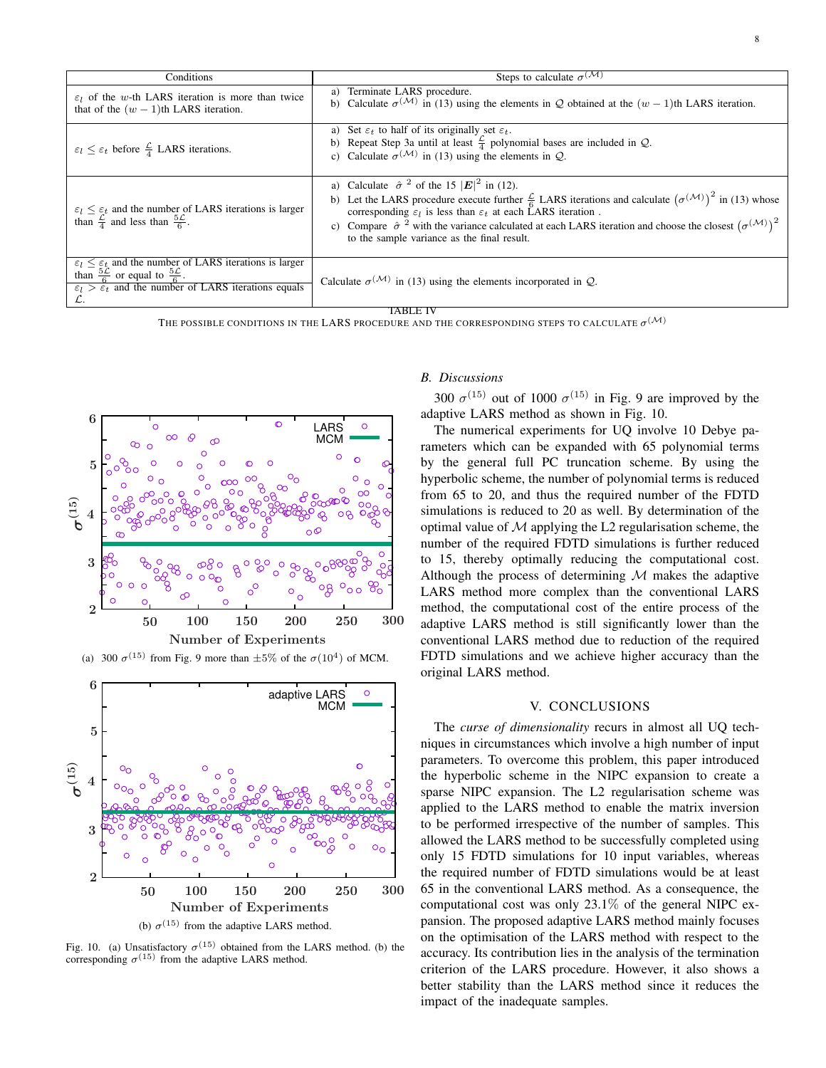| Conditions                                                                                                                                                                                                                   | Steps to calculate $\sigma^{(\mathcal{M})}$                                                                                                                                                                                                                                                                                                                                                                                                                                                 |  |  |
|------------------------------------------------------------------------------------------------------------------------------------------------------------------------------------------------------------------------------|---------------------------------------------------------------------------------------------------------------------------------------------------------------------------------------------------------------------------------------------------------------------------------------------------------------------------------------------------------------------------------------------------------------------------------------------------------------------------------------------|--|--|
| $\varepsilon_l$ of the w-th LARS iteration is more than twice<br>that of the $(w - 1)$ th LARS iteration.                                                                                                                    | a) Terminate LARS procedure.<br>b) Calculate $\sigma^{(\mathcal{M})}$ in (13) using the elements in Q obtained at the $(w-1)$ th LARS iteration.                                                                                                                                                                                                                                                                                                                                            |  |  |
| $\varepsilon_l \leq \varepsilon_t$ before $\frac{\mathcal{L}}{4}$ LARS iterations.                                                                                                                                           | a) Set $\varepsilon_t$ to half of its originally set $\varepsilon_t$ .<br>b) Repeat Step 3a until at least $\frac{2}{4}$ polynomial bases are included in Q.<br>c) Calculate $\sigma^{(\mathcal{M})}$ in (13) using the elements in Q.                                                                                                                                                                                                                                                      |  |  |
| $\varepsilon_l \leq \varepsilon_t$ and the number of LARS iterations is larger<br>than $\frac{\mathcal{L}}{4}$ and less than $\frac{5\mathcal{L}}{6}$ .                                                                      | a) Calculate $\hat{\sigma}^2$ of the 15 $ \mathbf{E} ^2$ in (12).<br>b) Let the LARS procedure execute further $\frac{\mathcal{L}}{6}$ LARS iterations and calculate $(\sigma^{(\mathcal{M})})^2$ in (13) whose<br>corresponding $\varepsilon_l$ is less than $\varepsilon_t$ at each LARS iteration.<br>c) Compare $\hat{\sigma}^2$ with the variance calculated at each LARS iteration and choose the closest $(\sigma^{(\mathcal{M})})^2$<br>to the sample variance as the final result. |  |  |
| $\varepsilon_l \leq \varepsilon_t$ and the number of LARS iterations is larger<br>than $\frac{5\mathcal{L}}{6}$ or equal to $\frac{5\mathcal{L}}{6}$ .<br>$\epsilon_l > \epsilon_t$ and the number of LARS iterations equals | Calculate $\sigma^{(\mathcal{M})}$ in (13) using the elements incorporated in $\mathcal{Q}$ .                                                                                                                                                                                                                                                                                                                                                                                               |  |  |
| TABLE IV                                                                                                                                                                                                                     |                                                                                                                                                                                                                                                                                                                                                                                                                                                                                             |  |  |

The possible conditions in the LARS procedure and the corresponding steps to calculate  $\sigma^{(\mathcal{M})}$ 



(a) 300  $\sigma^{(15)}$  from Fig. 9 more than  $\pm 5\%$  of the  $\sigma(10^4)$  of MCM.



Fig. 10. (a) Unsatisfactory  $\sigma^{(15)}$  obtained from the LARS method. (b) the corresponding  $\sigma^{(15)}$  from the adaptive LARS method.

# *B. Discussions*

300  $\sigma^{(15)}$  out of 1000  $\sigma^{(15)}$  in Fig. 9 are improved by the adaptive LARS method as shown in Fig. 10.

The numerical experiments for UQ involve 10 Debye parameters which can be expanded with 65 polynomial terms by the general full PC truncation scheme. By using the hyperbolic scheme, the number of polynomial terms is reduced from 65 to 20, and thus the required number of the FDTD simulations is reduced to 20 as well. By determination of the optimal value of  $M$  applying the L2 regularisation scheme, the number of the required FDTD simulations is further reduced to 15, thereby optimally reducing the computational cost. Although the process of determining  $M$  makes the adaptive LARS method more complex than the conventional LARS method, the computational cost of the entire process of the adaptive LARS method is still significantly lower than the conventional LARS method due to reduction of the required FDTD simulations and we achieve higher accuracy than the original LARS method.

#### V. CONCLUSIONS

The *curse of dimensionality* recurs in almost all UQ techniques in circumstances which involve a high number of input parameters. To overcome this problem, this paper introduced the hyperbolic scheme in the NIPC expansion to create a sparse NIPC expansion. The L2 regularisation scheme was applied to the LARS method to enable the matrix inversion to be performed irrespective of the number of samples. This allowed the LARS method to be successfully completed using only 15 FDTD simulations for 10 input variables, whereas the required number of FDTD simulations would be at least 65 in the conventional LARS method. As a consequence, the computational cost was only 23.1% of the general NIPC expansion. The proposed adaptive LARS method mainly focuses on the optimisation of the LARS method with respect to the accuracy. Its contribution lies in the analysis of the termination criterion of the LARS procedure. However, it also shows a better stability than the LARS method since it reduces the impact of the inadequate samples.